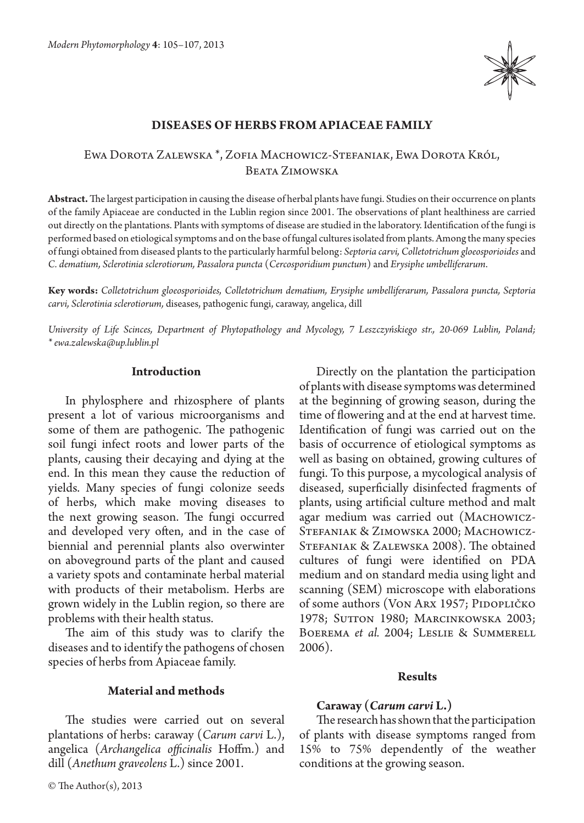

## **Diseases of herbs from Apiaceae family**

## Ewa Dorota Zalewska \*, Zofia Machowicz-Stefaniak, Ewa Dorota Król, Beata Zimowska

**Abstract.** The largest participation in causing the disease of herbal plants have fungi. Studies on their occurrence on plants of the family Apiaceae are conducted in the Lublin region since 2001. The observations of plant healthiness are carried out directly on the plantations. Plants with symptoms of disease are studied in the laboratory. Identification of the fungi is performed based on etiological symptoms and on the base of fungal cultures isolated from plants. Among the many species of fungi obtained from diseased plants to the particularly harmful belong: *Septoria carvi, Colletotrichum gloeosporioides* and *C. dematium, Sclerotinia sclerotiorum, Passalora puncta* (*Cercosporidium punctum*) and *Erysiphe umbelliferarum*.

**Key words:** *Colletotrichum gloeosporioides, Colletotrichum dematium, Erysiphe umbelliferarum, Passalora puncta, Septoria carvi, Sclerotinia sclerotiorum,* diseases, pathogenic fungi, caraway, angelica, dill

*University of Life Scinces, Department of Phytopathology and Mycology, 7 Leszczyńskiego str., 20-069 Lublin, Poland; \* ewa.zalewska@up.lublin.pl*

#### **Introduction**

In phylosphere and rhizosphere of plants present a lot of various microorganisms and some of them are pathogenic. The pathogenic soil fungi infect roots and lower parts of the plants, causing their decaying and dying at the end. In this mean they cause the reduction of yields. Many species of fungi colonize seeds of herbs, which make moving diseases to the next growing season. The fungi occurred and developed very often, and in the case of biennial and perennial plants also overwinter on aboveground parts of the plant and caused a variety spots and contaminate herbal material with products of their metabolism. Herbs are grown widely in the Lublin region, so there are problems with their health status.

The aim of this study was to clarify the diseases and to identify the pathogens of chosen species of herbs from Apiaceae family.

## **Material and methods**

The studies were carried out on several plantations of herbs: caraway (*Carum carvi* L.), angelica (*Archangelica officinalis* Hoffm.) and dill (*Anethum graveolens* L.) since 2001.

Directly on the plantation the participation of plants with disease symptoms was determined at the beginning of growing season, during the time of flowering and at the end at harvest time. Identification of fungi was carried out on the basis of occurrence of etiological symptoms as well as basing on obtained, growing cultures of fungi. To this purpose, a mycological analysis of diseased, superficially disinfected fragments of plants, using artificial culture method and malt agar medium was carried out (Machowicz-Stefaniak & Zimowska 2000; Machowicz-Stefaniak & Zalewska 2008). The obtained cultures of fungi were identified on PDA medium and on standard media using light and scanning (SEM) microscope with elaborations of some authors (VON ARX 1957; PIDOPLIČKO 1978; Sutton 1980; Marcinkowska 2003; Boerema *et al.* 2004; Leslie & Summerell 2006).

#### **Results**

## **Caraway (***Carum carvi* **L.)**

The research has shown that the participation of plants with disease symptoms ranged from 15% to 75% dependently of the weather conditions at the growing season.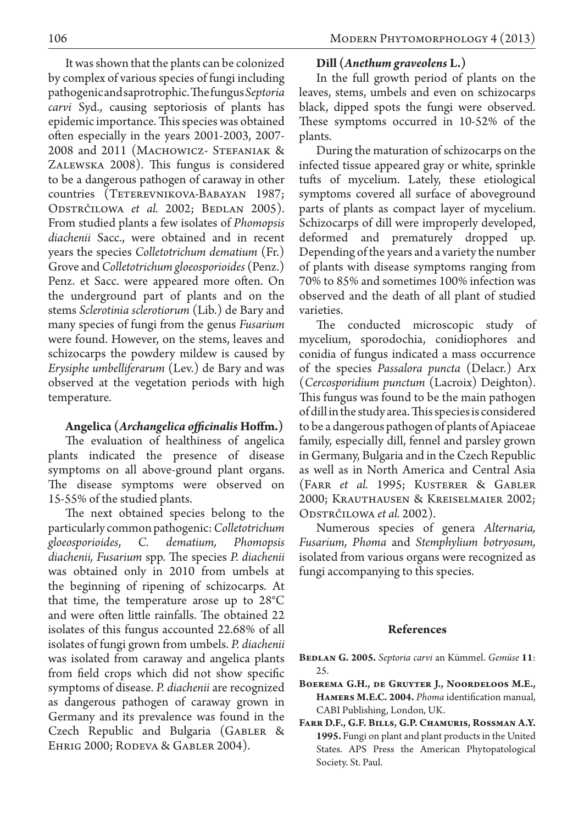It was shown that the plants can be colonized by complex of various species of fungi including pathogenic and saprotrophic. The fungus *Septoria carvi* Syd., causing septoriosis of plants has epidemic importance. This species was obtained often especially in the years 2001-2003, 2007- 2008 and 2011 (MACHOWICZ- STEFANIAK & Zalewska 2008). This fungus is considered to be a dangerous pathogen of caraway in other countries (TETEREVNIKOVA-BABAYAN 1987; ODSTRČILOWA *et al.* 2002; BEDLAN 2005). From studied plants a few isolates of *Phomopsis diachenii* Sacc., were obtained and in recent years the species *Colletotrichum dematium* (Fr.) Grove and *Colletotrichum gloeosporioides* (Penz.) Penz. et Sacc. were appeared more often. On the underground part of plants and on the stems *Sclerotinia sclerotiorum* (Lib.) de Bary and many species of fungi from the genus *Fusarium*  were found. However, on the stems, leaves and schizocarps the powdery mildew is caused by *Erysiphe umbelliferarum* (Lev.) de Bary and was observed at the vegetation periods with high temperature.

# **Angelica (***Archangelica officinalis* **Hoffm.)**

The evaluation of healthiness of angelica plants indicated the presence of disease symptoms on all above-ground plant organs. The disease symptoms were observed on 15-55% of the studied plants.

The next obtained species belong to the particularly common pathogenic: *Colletotrichum gloeosporioides*, *C. dematium, Phomopsis diachenii, Fusarium* spp. The species *P. diachenii*  was obtained only in 2010 from umbels at the beginning of ripening of schizocarps. At that time, the temperature arose up to 28°C and were often little rainfalls. The obtained 22 isolates of this fungus accounted 22.68% of all isolates of fungi grown from umbels. *P. diachenii*  was isolated from caraway and angelica plants from field crops which did not show specific symptoms of disease. *P. diachenii* are recognized as dangerous pathogen of caraway grown in Germany and its prevalence was found in the Czech Republic and Bulgaria (Gabler & Ehrig 2000; Rodeva & Gabler 2004).

# **Dill (***Anethum graveolens* **L.)**

In the full growth period of plants on the leaves, stems, umbels and even on schizocarps black, dipped spots the fungi were observed. These symptoms occurred in 10-52% of the plants.

During the maturation of schizocarps on the infected tissue appeared gray or white, sprinkle tufts of mycelium. Lately, these etiological symptoms covered all surface of aboveground parts of plants as compact layer of mycelium. Schizocarps of dill were improperly developed, deformed and prematurely dropped up. Depending of the years and a variety the number of plants with disease symptoms ranging from 70% to 85% and sometimes 100% infection was observed and the death of all plant of studied varieties.

The conducted microscopic study of mycelium, sporodochia, conidiophores and conidia of fungus indicated a mass occurrence of the species *Passalora puncta* (Delacr.) Arx (*Cercosporidium punctum* (Lacroix) Deighton). This fungus was found to be the main pathogen of dill in the study area. This species is considered to be a dangerous pathogen of plants of Apiaceae family, especially dill, fennel and parsley grown in Germany, Bulgaria and in the Czech Republic as well as in North America and Central Asia (Farr *et al.* 1995; Kusterer & Gabler 2000; Krauthausen & Kreiselmaier 2002; Odstrčilowa *et al.* 2002).

Numerous species of genera *Alternaria, Fusarium, Phoma* and *Stemphylium botryosum,*  isolated from various organs were recognized as fungi accompanying to this species.

## **References**

**Bedlan G. 2005.** *Septoria carvi* an Kümmel. *Gemüse* **11**: 25.

- **Boerema G.H., de Gruyter J., Noordeloos M.E., Hamers M.E.C. 2004.** *Phoma* identification manual, CABI Publishing, London, UK.
- **Farr D.F., G.F. Bills, G.P. Chamuris, Rossman A.Y. 1995.** Fungi on plant and plant products in the United States. APS Press the American Phytopatological Society. St. Paul.